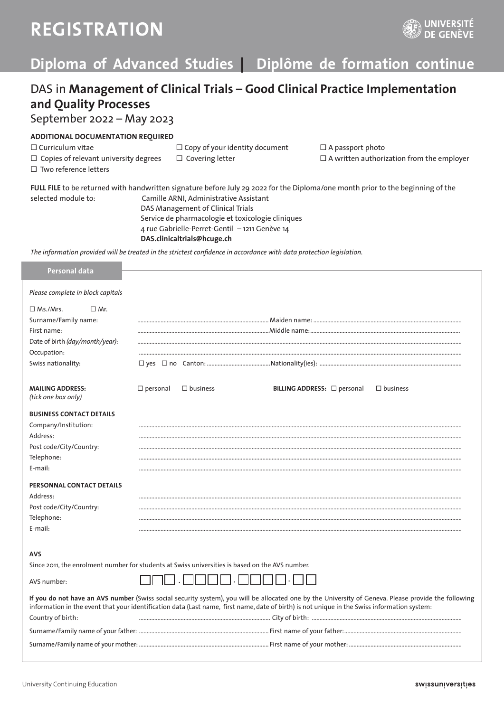# **REGISTRATION**



### **Diploma of Advanced Studies | Diplôme de formation continue**

### DAS in **Management of Clinical Trials – Good Clinical Practice Implementation and Quality Processes**

September 2022 – May 2023

### **ADDITIONAL DOCUMENTATION REQUIRED**

 $\square$  Curriculum vitae  $\square$  Copy of your identity document  $\square$  A passport photo

 $\Box$  Two reference letters

 $\Box$  Copies of relevant university degrees  $\Box$  Covering letter  $\Box$  A written authorization from the employer

**FULL FILE** to be returned with handwritten signature before July 29 2022 for the Diploma/one month prior to the beginning of the selected module to: Camille ARNI, Administrative Assistant DAS Management of Clinical Trials Service de pharmacologie et toxicologie cliniques 4 rue Gabrielle-Perret-Gentil – 1211 Genève 14 **DAS.clinicaltrials@hcuge.ch**

*The information provided will be treated in the strictest confidence in accordance with data protection legislation.*

| Personal data                                                                                   |                    |                 |                                                                                                                                                                                                                                                                                                      |                 |
|-------------------------------------------------------------------------------------------------|--------------------|-----------------|------------------------------------------------------------------------------------------------------------------------------------------------------------------------------------------------------------------------------------------------------------------------------------------------------|-----------------|
| Please complete in block capitals                                                               |                    |                 |                                                                                                                                                                                                                                                                                                      |                 |
| $\Box$ Ms./Mrs.<br>$\Box$ Mr.                                                                   |                    |                 |                                                                                                                                                                                                                                                                                                      |                 |
| Surname/Family name:                                                                            |                    |                 |                                                                                                                                                                                                                                                                                                      |                 |
| First name:                                                                                     |                    |                 |                                                                                                                                                                                                                                                                                                      |                 |
| Date of birth (day/month/year):                                                                 |                    |                 |                                                                                                                                                                                                                                                                                                      |                 |
| Occupation:                                                                                     |                    |                 |                                                                                                                                                                                                                                                                                                      |                 |
| Swiss nationality:                                                                              |                    |                 |                                                                                                                                                                                                                                                                                                      |                 |
| <b>MAILING ADDRESS:</b><br>(tick one box only)                                                  | $\square$ personal | $\Box$ business | BILLING ADDRESS: $\Box$ personal                                                                                                                                                                                                                                                                     | $\Box$ business |
| <b>BUSINESS CONTACT DETAILS</b>                                                                 |                    |                 |                                                                                                                                                                                                                                                                                                      |                 |
| Company/Institution:                                                                            |                    |                 |                                                                                                                                                                                                                                                                                                      |                 |
| Address:                                                                                        |                    |                 |                                                                                                                                                                                                                                                                                                      |                 |
| Post code/City/Country:                                                                         |                    |                 |                                                                                                                                                                                                                                                                                                      |                 |
| Telephone:                                                                                      |                    |                 |                                                                                                                                                                                                                                                                                                      |                 |
| E-mail:                                                                                         |                    |                 |                                                                                                                                                                                                                                                                                                      |                 |
| PERSONNAL CONTACT DETAILS                                                                       |                    |                 |                                                                                                                                                                                                                                                                                                      |                 |
| Address:                                                                                        |                    |                 |                                                                                                                                                                                                                                                                                                      |                 |
| Post code/City/Country:                                                                         |                    |                 |                                                                                                                                                                                                                                                                                                      |                 |
| Telephone:                                                                                      |                    |                 |                                                                                                                                                                                                                                                                                                      |                 |
| E-mail:                                                                                         |                    |                 |                                                                                                                                                                                                                                                                                                      |                 |
| <b>AVS</b>                                                                                      |                    |                 |                                                                                                                                                                                                                                                                                                      |                 |
| Since 2011, the enrolment number for students at Swiss universities is based on the AVS number. |                    |                 |                                                                                                                                                                                                                                                                                                      |                 |
| AVS number:                                                                                     |                    |                 |                                                                                                                                                                                                                                                                                                      |                 |
|                                                                                                 |                    |                 | If you do not have an AVS number (Swiss social security system), you will be allocated one by the University of Geneva. Please provide the following<br>information in the event that your identification data (Last name, first name, date of birth) is not unique in the Swiss information system: |                 |
| Country of birth:                                                                               |                    |                 |                                                                                                                                                                                                                                                                                                      |                 |
|                                                                                                 |                    |                 |                                                                                                                                                                                                                                                                                                      |                 |
|                                                                                                 |                    |                 |                                                                                                                                                                                                                                                                                                      |                 |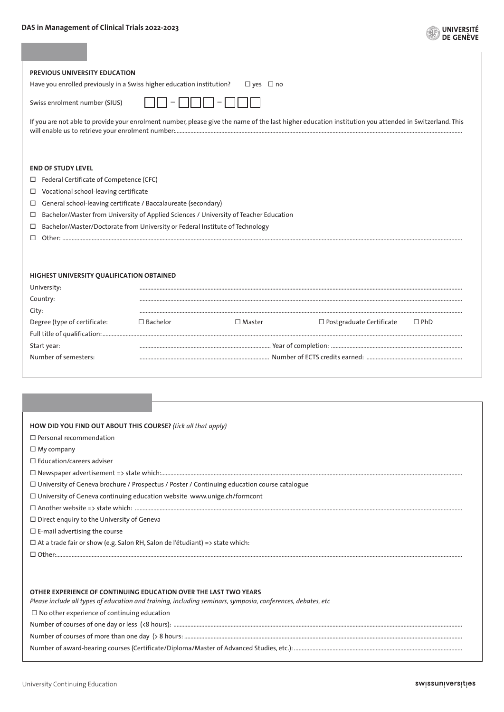#### **DAS in Management of Clinical Trials 2022-2023**

|  | UNIVERSITÉ |  |  |
|--|------------|--|--|
|  | DE GENÈVE  |  |  |

| PREVIOUS UNIVERSITY EDUCATION<br>Have you enrolled previously in a Swiss higher education institution?                                                                                                                                                                                                                                                                                                                                                                                                                        |                    | $\Box$ yes $\Box$ no |                                                                                                                                                       |            |
|-------------------------------------------------------------------------------------------------------------------------------------------------------------------------------------------------------------------------------------------------------------------------------------------------------------------------------------------------------------------------------------------------------------------------------------------------------------------------------------------------------------------------------|--------------------|----------------------|-------------------------------------------------------------------------------------------------------------------------------------------------------|------------|
| Swiss enrolment number (SIUS)                                                                                                                                                                                                                                                                                                                                                                                                                                                                                                 |                    |                      |                                                                                                                                                       |            |
|                                                                                                                                                                                                                                                                                                                                                                                                                                                                                                                               |                    |                      | If you are not able to provide your enrolment number, please give the name of the last higher education institution you attended in Switzerland. This |            |
| <b>END OF STUDY LEVEL</b><br>Federal Certificate of Competence (CFC)<br>□<br>Vocational school-leaving certificate<br>$\Box$<br>General school-leaving certificate / Baccalaureate (secondary)<br>$\Box$<br>Bachelor/Master from University of Applied Sciences / University of Teacher Education<br>$\Box$<br>Bachelor/Master/Doctorate from University or Federal Institute of Technology<br>□<br>П.                                                                                                                        |                    |                      |                                                                                                                                                       |            |
| HIGHEST UNIVERSITY QUALIFICATION OBTAINED<br>University:<br>Country:<br>City:                                                                                                                                                                                                                                                                                                                                                                                                                                                 |                    |                      |                                                                                                                                                       |            |
| Degree (type of certificate:                                                                                                                                                                                                                                                                                                                                                                                                                                                                                                  | $\square$ Bachelor | $\square$ Master     | $\Box$ Postgraduate Certificate                                                                                                                       | $\Box$ PhD |
|                                                                                                                                                                                                                                                                                                                                                                                                                                                                                                                               |                    |                      |                                                                                                                                                       |            |
| Start year:<br>Number of semesters:                                                                                                                                                                                                                                                                                                                                                                                                                                                                                           |                    |                      |                                                                                                                                                       |            |
|                                                                                                                                                                                                                                                                                                                                                                                                                                                                                                                               |                    |                      |                                                                                                                                                       |            |
| HOW DID YOU FIND OUT ABOUT THIS COURSE? (tick all that apply)<br>$\Box$ Personal recommendation<br>$\Box$ My company<br>$\Box$ Education/careers adviser<br>□ University of Geneva brochure / Prospectus / Poster / Continuing education course catalogue<br>□ University of Geneva continuing education website www.unige.ch/formcont<br>$\Box$ Direct enguiry to the University of Geneva<br>$\square$ E-mail advertising the course<br>$\Box$ At a trade fair or show (e.g. Salon RH, Salon de l'étudiant) => state which: |                    |                      |                                                                                                                                                       |            |
| OTHER EXPERIENCE OF CONTINUING EDUCATION OVER THE LAST TWO YEARS<br>Please include all types of education and training, including seminars, symposia, conferences, debates, etc<br>$\Box$ No other experience of continuing education                                                                                                                                                                                                                                                                                         |                    |                      |                                                                                                                                                       |            |